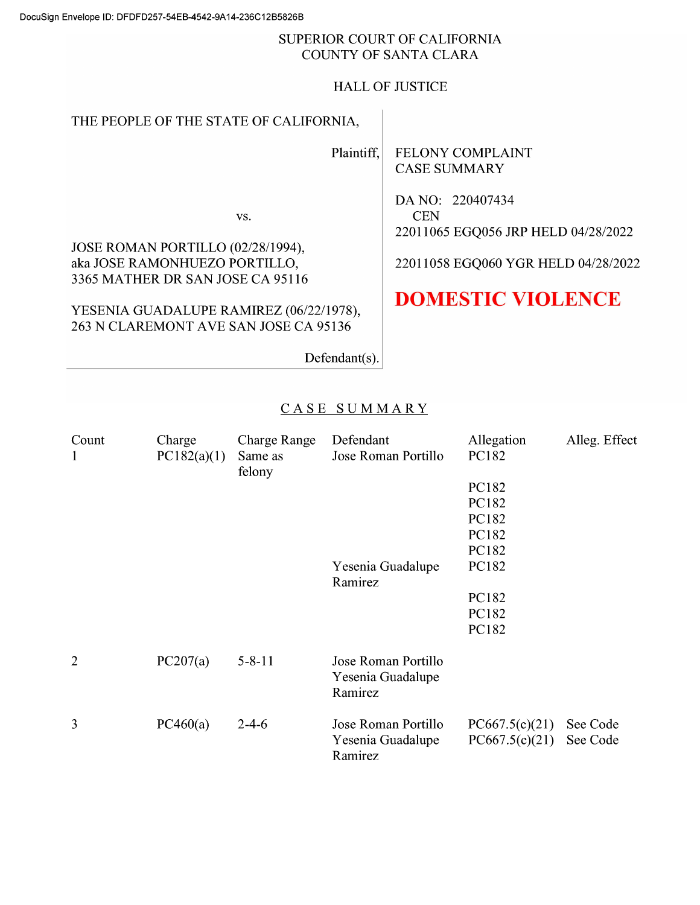#### SUPERIOR COURT OF CALIFORNIA COUNTY OF SANTA CLARA

### HALL OF JUSTICE

# THE PEOPLE OF THE STATE OF CALIFORNIA,

Plaintiff,

FELONY COMPLAINT CASE SUMMARY

DA NO: <sup>220407434</sup> **CEN** <sup>2201</sup> <sup>1065</sup> EGQ056 JRP HELD 04/28/2022

<sup>2201</sup> <sup>1058</sup> EGQO60 YGR HELD 04/28/2022

# DOMESTIC VIOLENCE

Defendant(s).

# CASE SUMMARY

| Count<br>$\mathbf{1}$ | Charge<br>PC182(a)(1) | <b>Charge Range</b><br>Same as<br>felony | Defendant<br>Jose Roman Portillo                    | Allegation<br>PC182              | Alleg. Effect        |
|-----------------------|-----------------------|------------------------------------------|-----------------------------------------------------|----------------------------------|----------------------|
|                       |                       |                                          |                                                     | PC182                            |                      |
|                       |                       |                                          |                                                     | PC182                            |                      |
|                       |                       |                                          |                                                     | PC182                            |                      |
|                       |                       |                                          |                                                     | PC182                            |                      |
|                       |                       |                                          |                                                     | PC182                            |                      |
|                       |                       |                                          | Yesenia Guadalupe<br>Ramirez                        | PC182                            |                      |
|                       |                       |                                          |                                                     | PC182                            |                      |
|                       |                       |                                          |                                                     | PC182                            |                      |
|                       |                       |                                          |                                                     | PC182                            |                      |
| $\overline{2}$        | PC207(a)              | $5 - 8 - 11$                             | Jose Roman Portillo<br>Yesenia Guadalupe<br>Ramirez |                                  |                      |
| 3                     | PC460(a)              | $2 - 4 - 6$                              | Jose Roman Portillo<br>Yesenia Guadalupe<br>Ramirez | PC667.5(c)(21)<br>PC667.5(c)(21) | See Code<br>See Code |

JOSE ROMAN PORTILLO (02/28/1994), aka JOSE RAMONHUEZO PORTILLO, <sup>3365</sup> MATHER DR SAN JOSE CA <sup>951</sup> <sup>16</sup>

YESENIA GUADALUPE RAMIREZ (06/22/1978), 263 N CLAREMONT AVE SAN JOSE CA 95136

VS.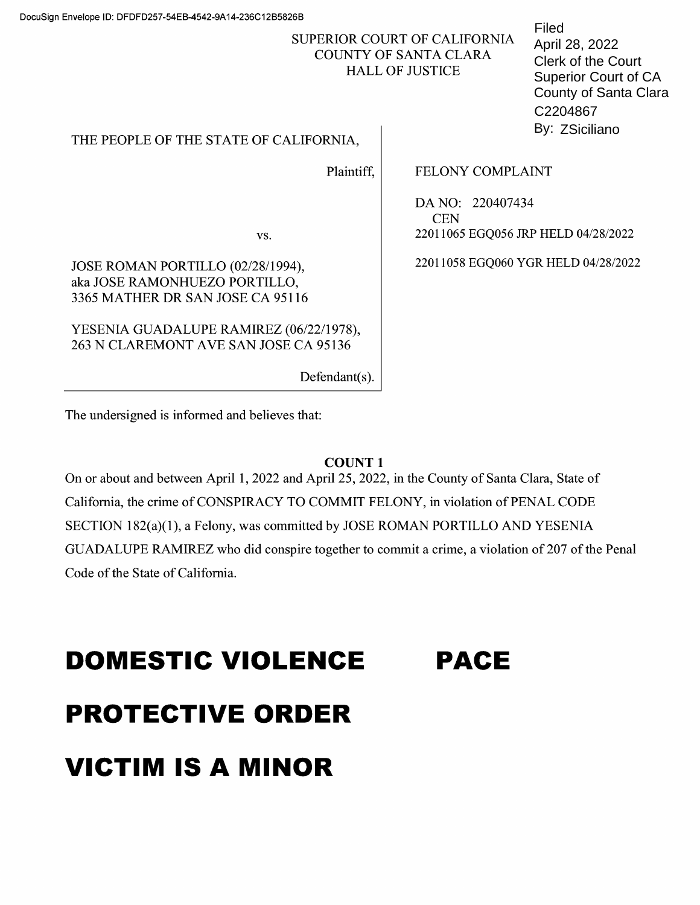## SUPERIOR COURT OF CALIFORNIA COUNTY OF SANTA CLARA HALL OF JUSTICE

THE PEOPLE OF THE STATE OF CALIFORNIA,

Plaintiff,

FELONY COMPLAINT

DA NO: <sup>220407434</sup> CEN <sup>2201</sup> <sup>1065</sup> EGQ056 JRP HELD 04/28/2022

<sup>2201</sup> <sup>1058</sup> EGQO60 YGR HELD 04/28/2022

VS.

JOSE ROMAN PORTILLO (02/28/1994), aka JOSE RAMONHUEZO PORTILLO, <sup>3365</sup> MATHER DR SAN JOSE CA <sup>951</sup> <sup>16</sup>

YESENIA GUADALUPE RAMIREZ (06/22/1978), 263 N CLAREMONT AVE SAN JOSE CA 95136

Defendant(s).

The undersigned is informed and believes that:

# COUNT

On 0r about and between April 1, 2022 and April 25, 2022, in the County 0f Santa Clara, State 0f California, the crime 0f CONSPIRACY TO COMMIT FELONY, in Violation 0f PENAL CODE SECTION 182(a)(1), a Felony, was committed by JOSE ROMAN PORTILLO AND YESENIA GUADALUPE RAMIREZ who did conspire together to commit a crime, a violation of 207 of the Penal Code 0f the State 0f California.

# DOMESTIC VIOLENCE PROTECTIVE ORDER VICTIM IS A MINOR PACE

Filed April 28, 2022 County of Santa Clara Superior Court of CA Clerk of the Court C2204867 By: ZSiciliano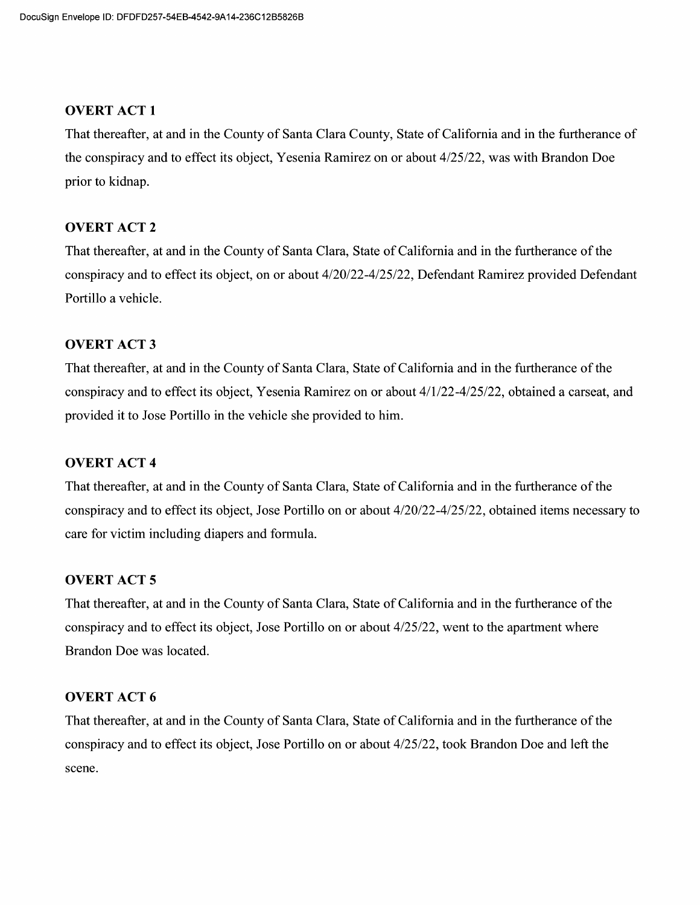#### **OVERT ACT 1**

That thereafter, at and in the County of Santa Clara County, State of California and in the furtherance of the conspiracy and to effect its object, Yesenia Ramirez on or about 4/25/22, was with Brandon Doe prior to kidnap.

#### OVERT ACT 2

That thereafter, at and in the County 0f Santa Clara, State 0f California and in the furtherance 0f the conspiracy and to effect its object, on or about  $4/20/22-4/25/22$ , Defendant Ramirez provided Defendant Portillo a vehicle.

#### **OVERT ACT 3**

That thereafter, at and in the County 0f Santa Clara, State 0f California and in the furtherance 0f the conspiracy and to effect its object, Yesenia Ramirez on or about  $4/1/22-4/25/22$ , obtained a carseat, and provided it to Jose Portillo in the vehicle she provided to him.

#### OVERT ACT

That thereafter, at and in the County of Santa Clara, State of California and in the furtherance of the conspiracy and to effect its object, Jose Portillo on or about  $4/20/22-4/25/22$ , obtained items necessary to care for Victim including diapers and formula.

#### OVERT ACT 5

That thereafter, at and in the County 0f Santa Clara, State 0f California and in the furtherance 0f the conspiracy and to effect its object, Jose Portillo on or about 4/25/22, went to the apartment where Brandon Doe was located.

#### OVERT ACT 6

That thereafter, at and in the County of Santa Clara, State of California and in the furtherance of the conspiracy and to effect its object, Jose Portillo on or about 4/25/22, took Brandon Doe and left the scene.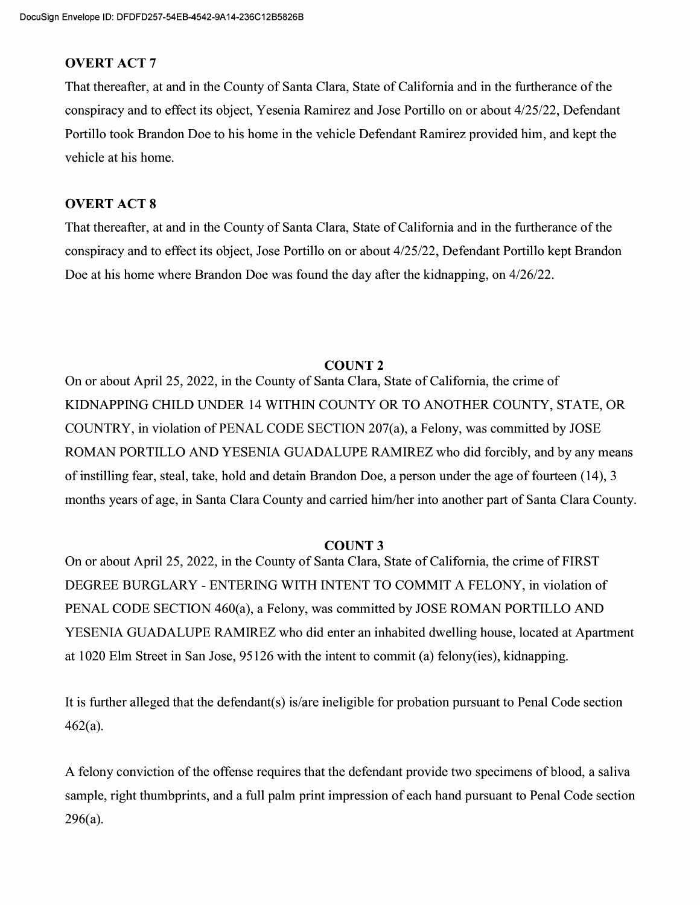#### **OVERT ACT 7**

That thereafter, at and in the County 0f Santa Clara, State 0f California and in the furtherance 0f the conspiracy and to effect its object, Yesenia Ramirez and Jose Portillo on or about  $4/25/22$ , Defendant Portillo took Brandon Doe t0 his home in the vehicle Defendant Ramirez provided him, and kept the vehicle at his home.

#### **OVERT ACT 8**

That thereafter, at and in the County 0f Santa Clara, State 0f California and in the furtherance 0f the conspiracy and to effect its object, Jose Portillo on or about 4/25/22, Defendant Portillo kept Brandon Doe at his home where Brandon Doe was found the day after the kidnapping, on  $4/26/22$ .

#### COUNT<sub>2</sub>

On 0r about April 25, 2022, in the County 0f Santa Clara, State 0f California, the crime 0f KIDNAPPING CHILD UNDER <sup>14</sup>WITHIN COUNTY OR TO ANOTHER COUNTY, STATE, OR COUNTRY, in violation of PENAL CODE SECTION 207(a), a Felony, was committed by JOSE ROMAN PORTILLO AND YESENIA GUADALUPE RAMIREZ who did forcibly, and by any means of instilling fear, steal, take, hold and detain Brandon Doe, a person under the age of fourteen (14), 3 months years 0f age, in Santa Clara County and carried him/her into another part 0f Santa Clara County.

#### COUNT<sub>3</sub>

On 0r about April 25, 2022, in the County 0f Santa Clara, State 0f California, the crime of FIRST DEGREE BURGLARY - ENTERING WITH INTENT TO COMMIT A FELONY, in violation of PENAL CODE SECTION 460(a), a Felony, was committed by JOSE ROMAN PORTILLO AND YESENIA GUADALUPE RAMIREZ who did enter an inhabited dwelling house, located at Apartment at 1020 Elm Street in San Jose, 95126 with the intent to commit (a) felony(ies), kidnapping.

It is further alleged that the defendant(s) is/are ineligible for probation pursuant to Penal Code section 462(a).

A felony conviction of the offense requires that the defendant provide two specimens of blood, a saliva sample, right thumbprints, and a full palm print impression of each hand pursuant to Penal Code section 296(a).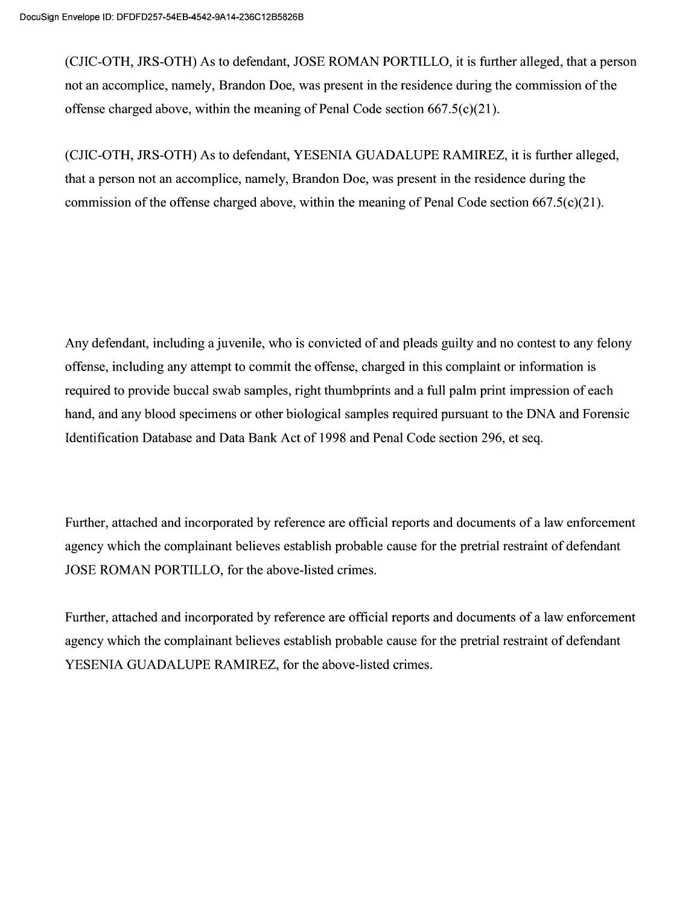(CJIC-OTH, JRS-OTH) As to defendant, JOSE ROMAN PORTILLO, it is further alleged, that a person not an accomplice, namely, Brandon Doe, was present in the residence during the commission 0f the offense charged above, within the meaning of Penal Code section  $667.5(c)(21)$ .

(CJIC-OTH, JRS-OTH) As t0 defendant, YESENIA GUADALUPE RAMIREZ, it is further alleged, that a person not an accomplice, namely, Brandon Doe, was present in the residence during the commission 0f the offense charged above, within the meaning 0f Penal Code section 667.5(c)(21).

Any defendant, including a juvenile, who is convicted of and pleads guilty and no contest to any felony offense, including any attempt to commit the offense, charged in this complaint or information is required to provide buccal swab samples, right thumbprints and a full palm print impression of each hand, and any blood specimens or other biological samples required pursuant to the DNA and Forensic Identification Database and Data Bank Act 0f 1998 and Penal Code section 296, et seq.

Further, attached and incorporated by reference are official reports and documents of a law enforcement agency which the complainant believes establish probable cause for the pretrial restraint 0f defendant JOSE ROMAN PORTILLO, for the above-listed crimes.

Further, attached and incorporated by reference are official reports and documents of a law enforcement agency which the complainant believes establish probable cause for the pretrial restraint of defendant YESENIA GUADALUPE RAMIREZ, for the above-listed crimes.